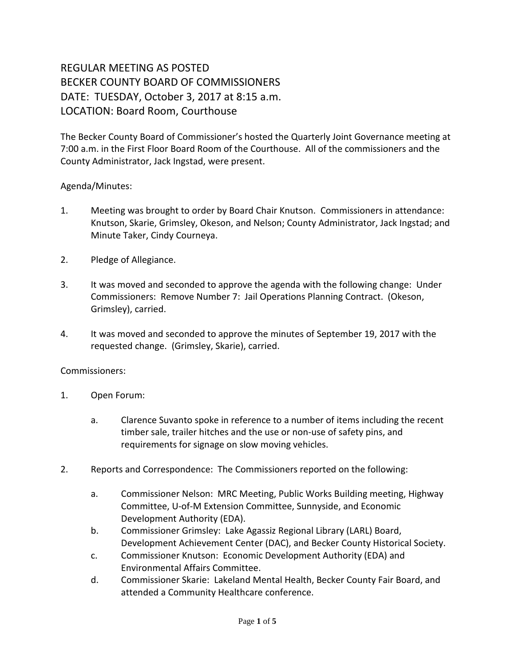## REGULAR MEETING AS POSTED BECKER COUNTY BOARD OF COMMISSIONERS DATE: TUESDAY, October 3, 2017 at 8:15 a.m. LOCATION: Board Room, Courthouse

The Becker County Board of Commissioner's hosted the Quarterly Joint Governance meeting at 7:00 a.m. in the First Floor Board Room of the Courthouse. All of the commissioners and the County Administrator, Jack Ingstad, were present.

## Agenda/Minutes:

- 1. Meeting was brought to order by Board Chair Knutson. Commissioners in attendance: Knutson, Skarie, Grimsley, Okeson, and Nelson; County Administrator, Jack Ingstad; and Minute Taker, Cindy Courneya.
- 2. Pledge of Allegiance.
- 3. It was moved and seconded to approve the agenda with the following change: Under Commissioners: Remove Number 7: Jail Operations Planning Contract. (Okeson, Grimsley), carried.
- 4. It was moved and seconded to approve the minutes of September 19, 2017 with the requested change. (Grimsley, Skarie), carried.

Commissioners:

- 1. Open Forum:
	- a. Clarence Suvanto spoke in reference to a number of items including the recent timber sale, trailer hitches and the use or non-use of safety pins, and requirements for signage on slow moving vehicles.
- 2. Reports and Correspondence: The Commissioners reported on the following:
	- a. Commissioner Nelson: MRC Meeting, Public Works Building meeting, Highway Committee, U-of-M Extension Committee, Sunnyside, and Economic Development Authority (EDA).
	- b. Commissioner Grimsley: Lake Agassiz Regional Library (LARL) Board, Development Achievement Center (DAC), and Becker County Historical Society.
	- c. Commissioner Knutson: Economic Development Authority (EDA) and Environmental Affairs Committee.
	- d. Commissioner Skarie: Lakeland Mental Health, Becker County Fair Board, and attended a Community Healthcare conference.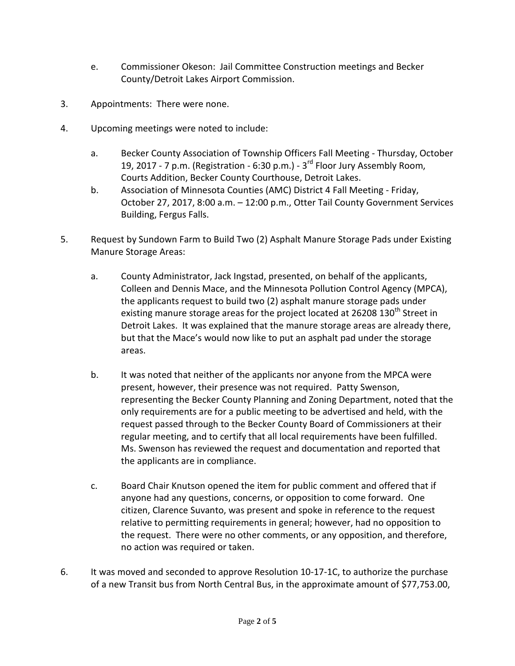- e. Commissioner Okeson: Jail Committee Construction meetings and Becker County/Detroit Lakes Airport Commission.
- 3. Appointments: There were none.
- 4. Upcoming meetings were noted to include:
	- a. Becker County Association of Township Officers Fall Meeting Thursday, October 19, 2017 - 7 p.m. (Registration - 6:30 p.m.) -  $3^{rd}$  Floor Jury Assembly Room, Courts Addition, Becker County Courthouse, Detroit Lakes.
	- b. Association of Minnesota Counties (AMC) District 4 Fall Meeting Friday, October 27, 2017, 8:00 a.m. – 12:00 p.m., Otter Tail County Government Services Building, Fergus Falls.
- 5. Request by Sundown Farm to Build Two (2) Asphalt Manure Storage Pads under Existing Manure Storage Areas:
	- a. County Administrator, Jack Ingstad, presented, on behalf of the applicants, Colleen and Dennis Mace, and the Minnesota Pollution Control Agency (MPCA), the applicants request to build two (2) asphalt manure storage pads under existing manure storage areas for the project located at 26208  $130<sup>th</sup>$  Street in Detroit Lakes. It was explained that the manure storage areas are already there, but that the Mace's would now like to put an asphalt pad under the storage areas.
	- b. It was noted that neither of the applicants nor anyone from the MPCA were present, however, their presence was not required. Patty Swenson, representing the Becker County Planning and Zoning Department, noted that the only requirements are for a public meeting to be advertised and held, with the request passed through to the Becker County Board of Commissioners at their regular meeting, and to certify that all local requirements have been fulfilled. Ms. Swenson has reviewed the request and documentation and reported that the applicants are in compliance.
	- c. Board Chair Knutson opened the item for public comment and offered that if anyone had any questions, concerns, or opposition to come forward. One citizen, Clarence Suvanto, was present and spoke in reference to the request relative to permitting requirements in general; however, had no opposition to the request. There were no other comments, or any opposition, and therefore, no action was required or taken.
- 6. It was moved and seconded to approve Resolution 10-17-1C, to authorize the purchase of a new Transit bus from North Central Bus, in the approximate amount of \$77,753.00,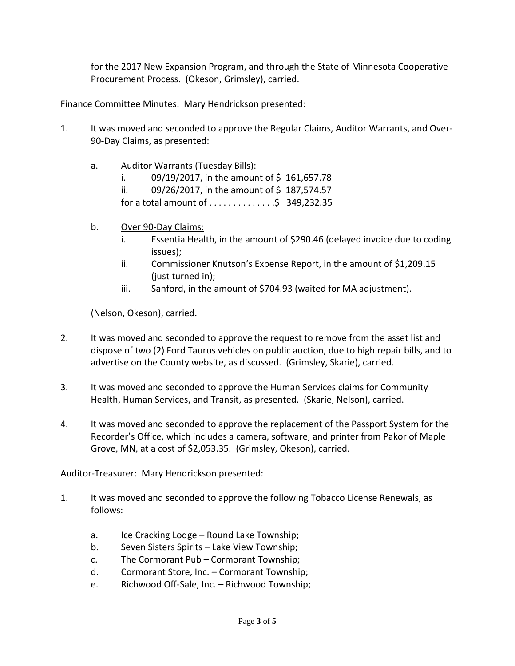for the 2017 New Expansion Program, and through the State of Minnesota Cooperative Procurement Process. (Okeson, Grimsley), carried.

Finance Committee Minutes: Mary Hendrickson presented:

- 1. It was moved and seconded to approve the Regular Claims, Auditor Warrants, and Over-90-Day Claims, as presented:
	- a. Auditor Warrants (Tuesday Bills):
		- i.  $09/19/2017$ , in the amount of \$161,657.78
		- ii.  $09/26/2017$ , in the amount of \$187,574.57
		- for a total amount of  $\dots \dots \dots$ ; \$ 349,232.35
	- b. Over 90-Day Claims:
		- i. Essentia Health, in the amount of \$290.46 (delayed invoice due to coding issues);
		- ii. Commissioner Knutson's Expense Report, in the amount of \$1,209.15 (just turned in);
		- iii. Sanford, in the amount of \$704.93 (waited for MA adjustment).

(Nelson, Okeson), carried.

- 2. It was moved and seconded to approve the request to remove from the asset list and dispose of two (2) Ford Taurus vehicles on public auction, due to high repair bills, and to advertise on the County website, as discussed. (Grimsley, Skarie), carried.
- 3. It was moved and seconded to approve the Human Services claims for Community Health, Human Services, and Transit, as presented. (Skarie, Nelson), carried.
- 4. It was moved and seconded to approve the replacement of the Passport System for the Recorder's Office, which includes a camera, software, and printer from Pakor of Maple Grove, MN, at a cost of \$2,053.35. (Grimsley, Okeson), carried.

Auditor-Treasurer: Mary Hendrickson presented:

- 1. It was moved and seconded to approve the following Tobacco License Renewals, as follows:
	- a. Ice Cracking Lodge Round Lake Township;
	- b. Seven Sisters Spirits Lake View Township;
	- c. The Cormorant Pub Cormorant Township;
	- d. Cormorant Store, Inc. Cormorant Township;
	- e. Richwood Off-Sale, Inc. Richwood Township;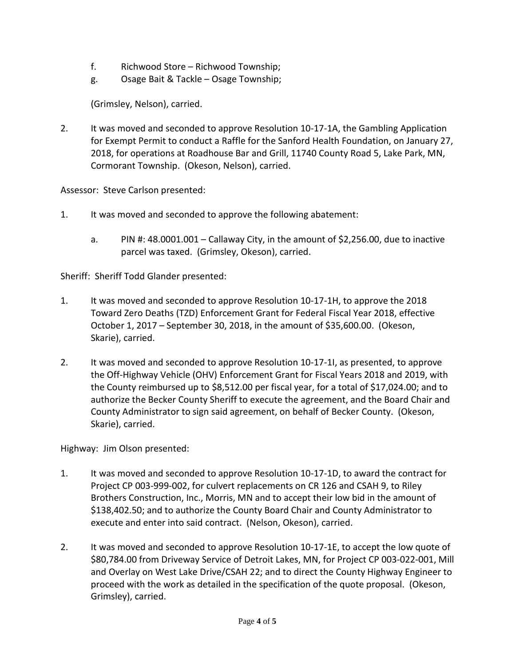- f. Richwood Store Richwood Township;
- g. Osage Bait & Tackle Osage Township;

(Grimsley, Nelson), carried.

2. It was moved and seconded to approve Resolution 10-17-1A, the Gambling Application for Exempt Permit to conduct a Raffle for the Sanford Health Foundation, on January 27, 2018, for operations at Roadhouse Bar and Grill, 11740 County Road 5, Lake Park, MN, Cormorant Township. (Okeson, Nelson), carried.

Assessor: Steve Carlson presented:

- 1. It was moved and seconded to approve the following abatement:
	- a. PIN #: 48.0001.001 Callaway City, in the amount of \$2,256.00, due to inactive parcel was taxed. (Grimsley, Okeson), carried.

Sheriff: Sheriff Todd Glander presented:

- 1. It was moved and seconded to approve Resolution 10-17-1H, to approve the 2018 Toward Zero Deaths (TZD) Enforcement Grant for Federal Fiscal Year 2018, effective October 1, 2017 – September 30, 2018, in the amount of \$35,600.00. (Okeson, Skarie), carried.
- 2. It was moved and seconded to approve Resolution 10-17-1I, as presented, to approve the Off-Highway Vehicle (OHV) Enforcement Grant for Fiscal Years 2018 and 2019, with the County reimbursed up to \$8,512.00 per fiscal year, for a total of \$17,024.00; and to authorize the Becker County Sheriff to execute the agreement, and the Board Chair and County Administrator to sign said agreement, on behalf of Becker County. (Okeson, Skarie), carried.

Highway: Jim Olson presented:

- 1. It was moved and seconded to approve Resolution 10-17-1D, to award the contract for Project CP 003-999-002, for culvert replacements on CR 126 and CSAH 9, to Riley Brothers Construction, Inc., Morris, MN and to accept their low bid in the amount of \$138,402.50; and to authorize the County Board Chair and County Administrator to execute and enter into said contract. (Nelson, Okeson), carried.
- 2. It was moved and seconded to approve Resolution 10-17-1E, to accept the low quote of \$80,784.00 from Driveway Service of Detroit Lakes, MN, for Project CP 003-022-001, Mill and Overlay on West Lake Drive/CSAH 22; and to direct the County Highway Engineer to proceed with the work as detailed in the specification of the quote proposal. (Okeson, Grimsley), carried.